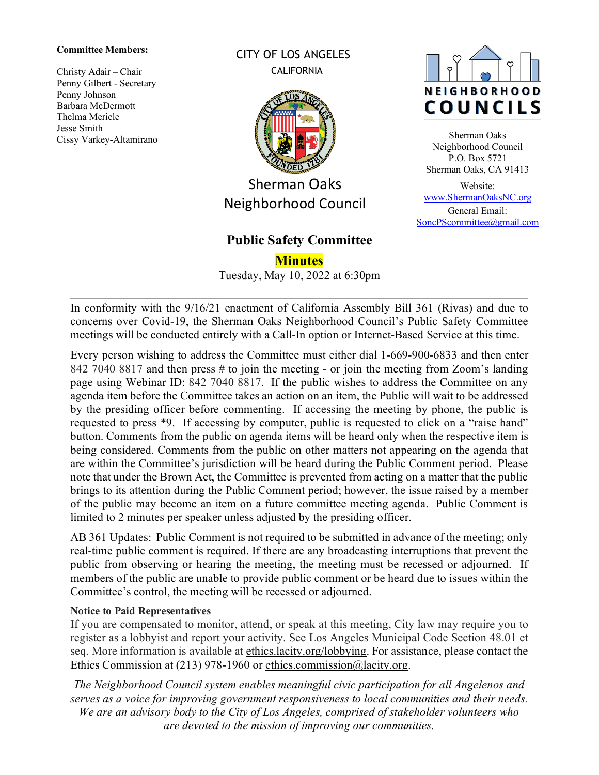#### **Committee Members:**

Christy Adair – Chair Penny Gilbert - Secretary Penny Johnson Barbara McDermott Thelma Mericle Jesse Smith Cissy Varkey-Altamirano CITY OF LOS ANGELES **CALIFORNIA** 



Sherman Oaks Neighborhood Council

# **Public Safety Committee**

**Minutes**

Tuesday, May 10, 2022 at 6:30pm



Sherman Oaks Neighborhood Council P.O. Box 5721 Sherman Oaks, CA 91413

Website: [www.ShermanOaksNC.org](http://www.shermanoaksnc.org/) General Email: [SoncPScommittee@gmail.com](mailto:SoncPScommittee@gmail.com)

In conformity with the 9/16/21 enactment of California Assembly Bill 361 (Rivas) and due to concerns over Covid-19, the Sherman Oaks Neighborhood Council's Public Safety Committee meetings will be conducted entirely with a Call-In option or Internet-Based Service at this time.

Every person wishing to address the Committee must either dial 1-669-900-6833 and then enter 842 7040 8817 and then press # to join the meeting - or join the meeting from Zoom's landing page using Webinar ID: 842 7040 8817. If the public wishes to address the Committee on any agenda item before the Committee takes an action on an item, the Public will wait to be addressed by the presiding officer before commenting. If accessing the meeting by phone, the public is requested to press \*9. If accessing by computer, public is requested to click on a "raise hand" button. Comments from the public on agenda items will be heard only when the respective item is being considered. Comments from the public on other matters not appearing on the agenda that are within the Committee's jurisdiction will be heard during the Public Comment period. Please note that under the Brown Act, the Committee is prevented from acting on a matter that the public brings to its attention during the Public Comment period; however, the issue raised by a member of the public may become an item on a future committee meeting agenda. Public Comment is limited to 2 minutes per speaker unless adjusted by the presiding officer.

AB 361 Updates: Public Comment is not required to be submitted in advance of the meeting; only real-time public comment is required. If there are any broadcasting interruptions that prevent the public from observing or hearing the meeting, the meeting must be recessed or adjourned. If members of the public are unable to provide public comment or be heard due to issues within the Committee's control, the meeting will be recessed or adjourned.

#### **Notice to Paid Representatives**

If you are compensated to monitor, attend, or speak at this meeting, City law may require you to register as a lobbyist and report your activity. See Los Angeles Municipal Code Section 48.01 et seq. More information is available at [ethics.lacity.org/lobbying.](http://ethics.lacity.org/lobbying) For assistance, please contact the Ethics Commission at (213) 978-1960 or [ethics.commission@lacity.org.](mailto:ethics.commission@lacity.org)

*The Neighborhood Council system enables meaningful civic participation for all Angelenos and serves as a voice for improving government responsiveness to local communities and their needs. We are an advisory body to the City of Los Angeles, comprised of stakeholder volunteers who are devoted to the mission of improving our communities.*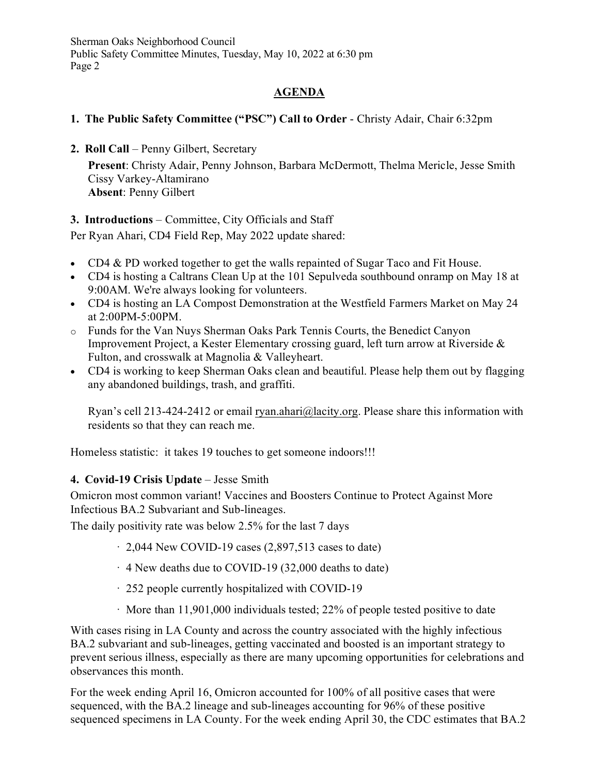## **AGENDA**

### **1. The Public Safety Committee ("PSC") Call to Order** - Christy Adair, Chair 6:32pm

**2. Roll Call** – Penny Gilbert, Secretary

**Present**: Christy Adair, Penny Johnson, Barbara McDermott, Thelma Mericle, Jesse Smith Cissy Varkey-Altamirano **Absent**: Penny Gilbert

### **3. Introductions** – Committee, City Officials and Staff

Per Ryan Ahari, CD4 Field Rep, May 2022 update shared:

- CD4 & PD worked together to get the walls repainted of Sugar Taco and Fit House.
- CD4 is hosting a Caltrans Clean Up at the 101 Sepulveda southbound onramp on May 18 at 9:00AM. We're always looking for volunteers.
- CD4 is hosting an LA Compost Demonstration at the Westfield Farmers Market on May 24 at 2:00PM-5:00PM.
- o Funds for the Van Nuys Sherman Oaks Park Tennis Courts, the Benedict Canyon Improvement Project, a Kester Elementary crossing guard, left turn arrow at Riverside & Fulton, and crosswalk at Magnolia & Valleyheart.
- CD4 is working to keep Sherman Oaks clean and beautiful. Please help them out by flagging any abandoned buildings, trash, and graffiti.

Ryan's cell 213-424-2412 or email [ryan.ahari@lacity.org.](mailto:ryan.ahari@lacity.org) Please share this information with residents so that they can reach me.

Homeless statistic: it takes 19 touches to get someone indoors!!!

### **4. Covid-19 Crisis Update** – Jesse Smith

Omicron most common variant! Vaccines and Boosters Continue to Protect Against More Infectious BA.2 Subvariant and Sub-lineages.

The daily positivity rate was below 2.5% for the last 7 days

- $\cdot$  2,044 New COVID-19 cases (2,897,513 cases to date)
- · 4 New deaths due to COVID-19 (32,000 deaths to date)
- · 252 people currently hospitalized with COVID-19
- · More than 11,901,000 individuals tested; 22% of people tested positive to date

With cases rising in LA County and across the country associated with the highly infectious BA.2 subvariant and sub-lineages, getting vaccinated and boosted is an important strategy to prevent serious illness, especially as there are many upcoming opportunities for celebrations and observances this month.

For the week ending April 16, Omicron accounted for 100% of all positive cases that were sequenced, with the BA.2 lineage and sub-lineages accounting for 96% of these positive sequenced specimens in LA County. For the week ending April 30, the CDC estimates that BA.2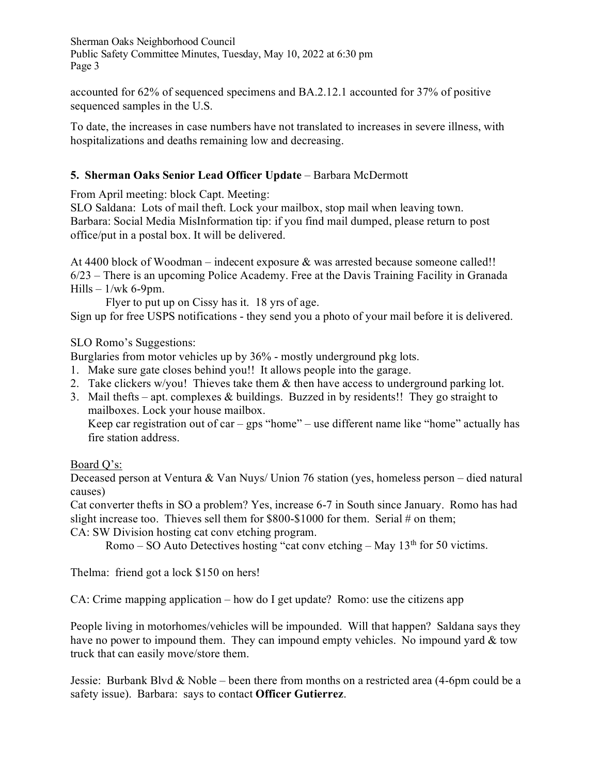accounted for 62% of sequenced specimens and BA.2.12.1 accounted for 37% of positive sequenced samples in the U.S.

To date, the increases in case numbers have not translated to increases in severe illness, with hospitalizations and deaths remaining low and decreasing.

## **5. Sherman Oaks Senior Lead Officer Update** – Barbara McDermott

From April meeting: block Capt. Meeting:

SLO Saldana: Lots of mail theft. Lock your mailbox, stop mail when leaving town. Barbara: Social Media MisInformation tip: if you find mail dumped, please return to post office/put in a postal box. It will be delivered.

At 4400 block of Woodman – indecent exposure & was arrested because someone called!! 6/23 – There is an upcoming Police Academy. Free at the Davis Training Facility in Granada Hills  $-1$ /wk 6-9pm.

Flyer to put up on Cissy has it. 18 yrs of age.

Sign up for free USPS notifications - they send you a photo of your mail before it is delivered.

SLO Romo's Suggestions:

Burglaries from motor vehicles up by 36% - mostly underground pkg lots.

- 1. Make sure gate closes behind you!! It allows people into the garage.
- 2. Take clickers w/you! Thieves take them & then have access to underground parking lot.
- 3. Mail thefts apt. complexes & buildings. Buzzed in by residents!! They go straight to mailboxes. Lock your house mailbox.

Keep car registration out of car – gps "home" – use different name like "home" actually has fire station address.

# Board Q's:

Deceased person at Ventura & Van Nuys/ Union 76 station (yes, homeless person – died natural causes)

Cat converter thefts in SO a problem? Yes, increase 6-7 in South since January. Romo has had slight increase too. Thieves sell them for \$800-\$1000 for them. Serial # on them;

CA: SW Division hosting cat conv etching program.

Romo – SO Auto Detectives hosting "cat conv etching – May  $13<sup>th</sup>$  for 50 victims.

Thelma: friend got a lock \$150 on hers!

CA: Crime mapping application – how do I get update? Romo: use the citizens app

People living in motorhomes/vehicles will be impounded. Will that happen? Saldana says they have no power to impound them. They can impound empty vehicles. No impound yard & tow truck that can easily move/store them.

Jessie: Burbank Blvd & Noble – been there from months on a restricted area (4-6pm could be a safety issue). Barbara: says to contact **Officer Gutierrez**.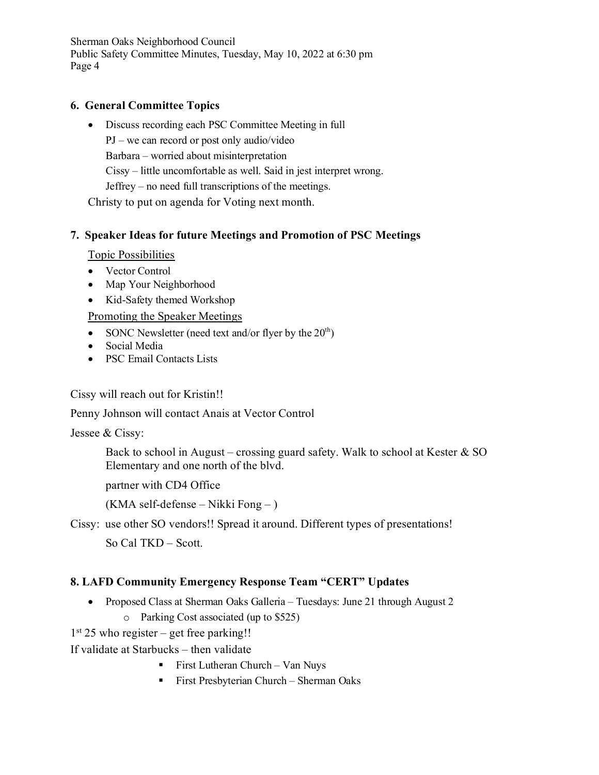#### **6. General Committee Topics**

• Discuss recording each PSC Committee Meeting in full PJ – we can record or post only audio/video Barbara – worried about misinterpretation Cissy – little uncomfortable as well. Said in jest interpret wrong. Jeffrey – no need full transcriptions of the meetings. Christy to put on agenda for Voting next month.

### **7. Speaker Ideas for future Meetings and Promotion of PSC Meetings**

Topic Possibilities

- Vector Control
- Map Your Neighborhood
- Kid-Safety themed Workshop

Promoting the Speaker Meetings

- SONC Newsletter (need text and/or flyer by the  $20<sup>th</sup>$ )
- Social Media
- PSC Email Contacts Lists

Cissy will reach out for Kristin!!

Penny Johnson will contact Anais at Vector Control

Jessee & Cissy:

Back to school in August – crossing guard safety. Walk to school at Kester  $\&$  SO Elementary and one north of the blvd.

partner with CD4 Office

(KMA self-defense – Nikki Fong – )

Cissy: use other SO vendors!! Spread it around. Different types of presentations!

So Cal TKD – Scott.

### **8. LAFD Community Emergency Response Team "CERT" Updates**

- Proposed Class at Sherman Oaks Galleria Tuesdays: June 21 through August 2
	- o Parking Cost associated (up to \$525)

 $1<sup>st</sup> 25$  who register – get free parking!!

If validate at Starbucks – then validate

- First Lutheran Church Van Nuys
- **First Presbyterian Church Sherman Oaks**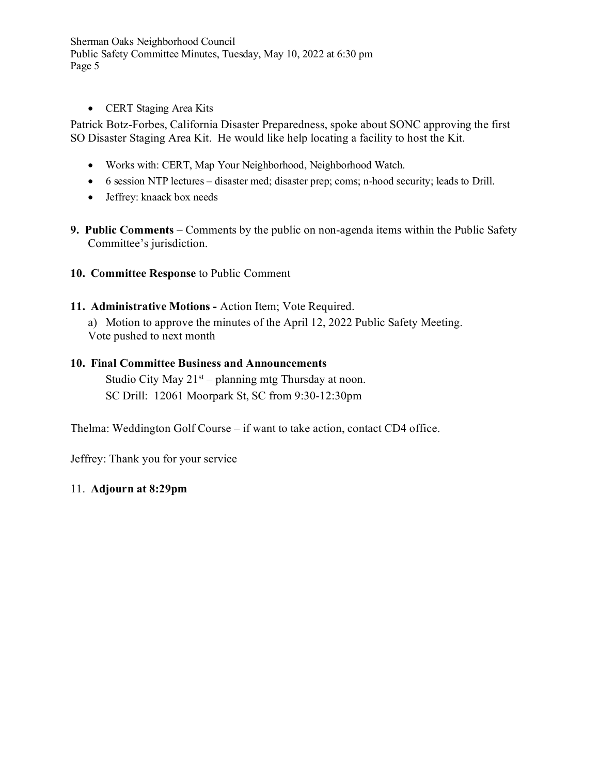• CERT Staging Area Kits

Patrick Botz-Forbes, California Disaster Preparedness, spoke about SONC approving the first SO Disaster Staging Area Kit. He would like help locating a facility to host the Kit.

- Works with: CERT, Map Your Neighborhood, Neighborhood Watch.
- 6 session NTP lectures disaster med; disaster prep; coms; n-hood security; leads to Drill.
- Jeffrey: knaack box needs
- **9. Public Comments** Comments by the public on non-agenda items within the Public Safety Committee's jurisdiction.
- **10. Committee Response** to Public Comment
- **11. Administrative Motions -** Action Item; Vote Required.

a) Motion to approve the minutes of the April 12, 2022 Public Safety Meeting. Vote pushed to next month

## **10. Final Committee Business and Announcements**

Studio City May  $21<sup>st</sup> - planning mtg Thursday at noon.$ SC Drill: 12061 Moorpark St, SC from 9:30-12:30pm

Thelma: Weddington Golf Course – if want to take action, contact CD4 office.

Jeffrey: Thank you for your service

### 11. **Adjourn at 8:29pm**